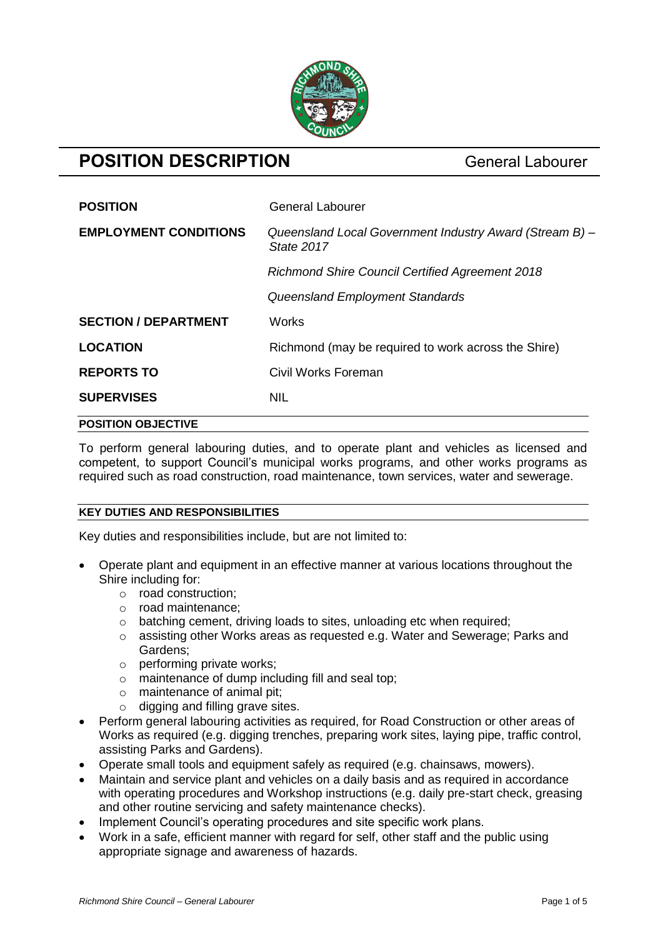

# **POSITION DESCRIPTION** General Labourer

| <b>POSITION</b>              | <b>General Labourer</b>                                               |  |
|------------------------------|-----------------------------------------------------------------------|--|
| <b>EMPLOYMENT CONDITIONS</b> | Queensland Local Government Industry Award (Stream B) -<br>State 2017 |  |
|                              | <b>Richmond Shire Council Certified Agreement 2018</b>                |  |
|                              | Queensland Employment Standards                                       |  |
| <b>SECTION / DEPARTMENT</b>  | <b>Works</b>                                                          |  |
| <b>LOCATION</b>              | Richmond (may be required to work across the Shire)                   |  |
| <b>REPORTS TO</b>            | Civil Works Foreman                                                   |  |
| <b>SUPERVISES</b>            | <b>NIL</b>                                                            |  |
| <b>POSITION OBJECTIVE</b>    |                                                                       |  |

To perform general labouring duties, and to operate plant and vehicles as licensed and competent, to support Council's municipal works programs, and other works programs as required such as road construction, road maintenance, town services, water and sewerage.

# **KEY DUTIES AND RESPONSIBILITIES**

Key duties and responsibilities include, but are not limited to:

- Operate plant and equipment in an effective manner at various locations throughout the Shire including for:
	- o road construction;
	- o road maintenance;
	- o batching cement, driving loads to sites, unloading etc when required;
	- o assisting other Works areas as requested e.g. Water and Sewerage; Parks and Gardens;
	- o performing private works;
	- o maintenance of dump including fill and seal top;
	- o maintenance of animal pit;
	- o digging and filling grave sites.
- Perform general labouring activities as required, for Road Construction or other areas of Works as required (e.g. digging trenches, preparing work sites, laying pipe, traffic control, assisting Parks and Gardens).
- Operate small tools and equipment safely as required (e.g. chainsaws, mowers).
- Maintain and service plant and vehicles on a daily basis and as required in accordance with operating procedures and Workshop instructions (e.g. daily pre-start check, greasing and other routine servicing and safety maintenance checks).
- Implement Council's operating procedures and site specific work plans.
- Work in a safe, efficient manner with regard for self, other staff and the public using appropriate signage and awareness of hazards.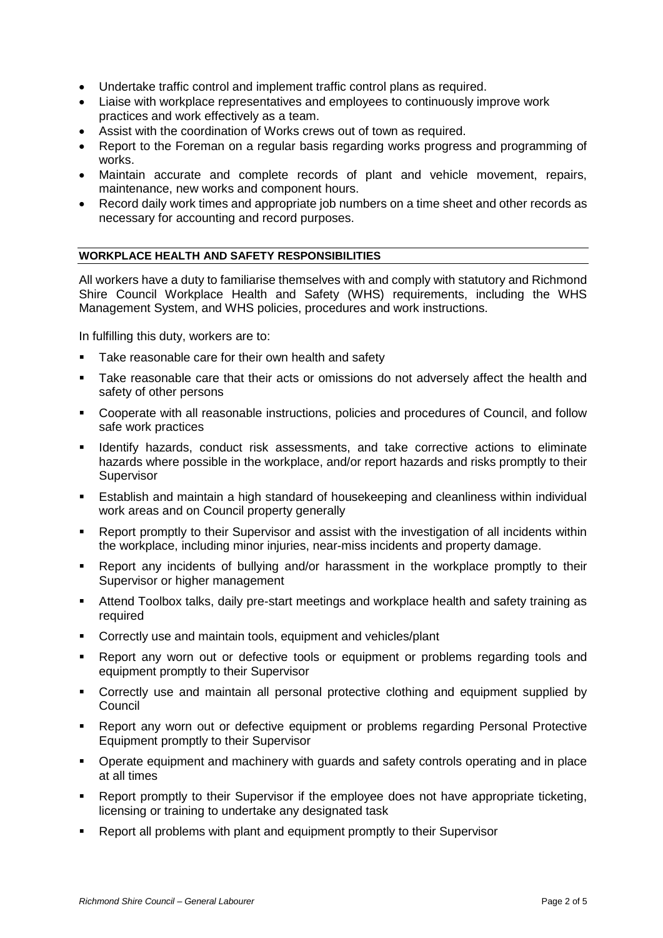- Undertake traffic control and implement traffic control plans as required.
- Liaise with workplace representatives and employees to continuously improve work practices and work effectively as a team.
- Assist with the coordination of Works crews out of town as required.
- Report to the Foreman on a regular basis regarding works progress and programming of works.
- Maintain accurate and complete records of plant and vehicle movement, repairs, maintenance, new works and component hours.
- Record daily work times and appropriate job numbers on a time sheet and other records as necessary for accounting and record purposes.

# **WORKPLACE HEALTH AND SAFETY RESPONSIBILITIES**

All workers have a duty to familiarise themselves with and comply with statutory and Richmond Shire Council Workplace Health and Safety (WHS) requirements, including the WHS Management System, and WHS policies, procedures and work instructions.

In fulfilling this duty, workers are to:

- Take reasonable care for their own health and safety
- Take reasonable care that their acts or omissions do not adversely affect the health and safety of other persons
- Cooperate with all reasonable instructions, policies and procedures of Council, and follow safe work practices
- Identify hazards, conduct risk assessments, and take corrective actions to eliminate hazards where possible in the workplace, and/or report hazards and risks promptly to their **Supervisor**
- Establish and maintain a high standard of housekeeping and cleanliness within individual work areas and on Council property generally
- Report promptly to their Supervisor and assist with the investigation of all incidents within the workplace, including minor injuries, near-miss incidents and property damage.
- Report any incidents of bullying and/or harassment in the workplace promptly to their Supervisor or higher management
- Attend Toolbox talks, daily pre-start meetings and workplace health and safety training as required
- Correctly use and maintain tools, equipment and vehicles/plant
- Report any worn out or defective tools or equipment or problems regarding tools and equipment promptly to their Supervisor
- Correctly use and maintain all personal protective clothing and equipment supplied by Council
- Report any worn out or defective equipment or problems regarding Personal Protective Equipment promptly to their Supervisor
- Operate equipment and machinery with guards and safety controls operating and in place at all times
- Report promptly to their Supervisor if the employee does not have appropriate ticketing, licensing or training to undertake any designated task
- Report all problems with plant and equipment promptly to their Supervisor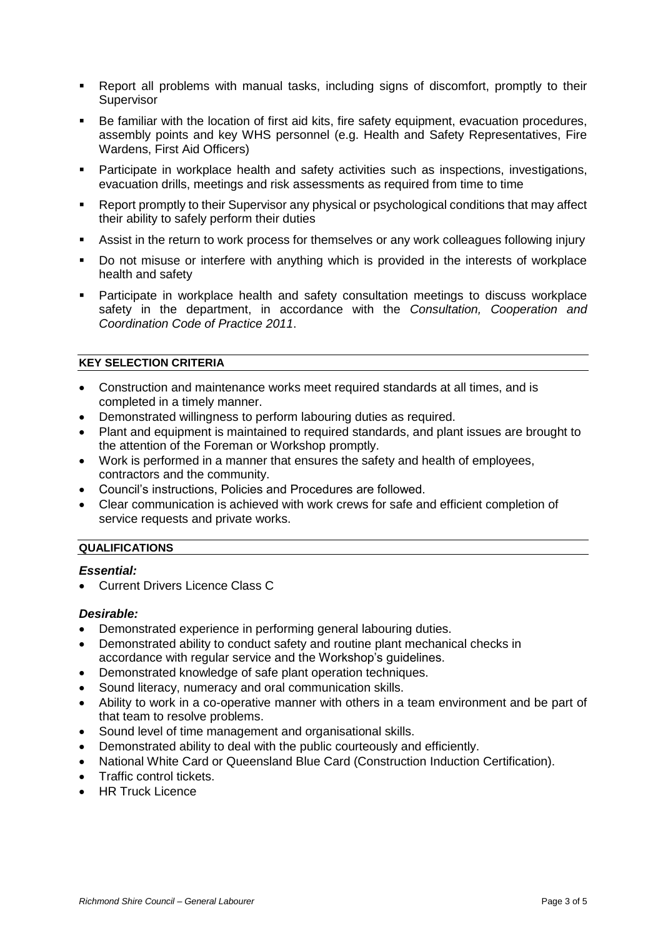- Report all problems with manual tasks, including signs of discomfort, promptly to their **Supervisor**
- Be familiar with the location of first aid kits, fire safety equipment, evacuation procedures, assembly points and key WHS personnel (e.g. Health and Safety Representatives, Fire Wardens, First Aid Officers)
- Participate in workplace health and safety activities such as inspections, investigations, evacuation drills, meetings and risk assessments as required from time to time
- Report promptly to their Supervisor any physical or psychological conditions that may affect their ability to safely perform their duties
- Assist in the return to work process for themselves or any work colleagues following injury
- Do not misuse or interfere with anything which is provided in the interests of workplace health and safety
- Participate in workplace health and safety consultation meetings to discuss workplace safety in the department, in accordance with the *Consultation, Cooperation and Coordination Code of Practice 2011*.

## **KEY SELECTION CRITERIA**

- Construction and maintenance works meet required standards at all times, and is completed in a timely manner.
- Demonstrated willingness to perform labouring duties as required.
- Plant and equipment is maintained to required standards, and plant issues are brought to the attention of the Foreman or Workshop promptly.
- Work is performed in a manner that ensures the safety and health of employees, contractors and the community.
- Council's instructions, Policies and Procedures are followed.
- Clear communication is achieved with work crews for safe and efficient completion of service requests and private works.

#### **QUALIFICATIONS**

#### *Essential:*

Current Drivers Licence Class C

#### *Desirable:*

- Demonstrated experience in performing general labouring duties.
- Demonstrated ability to conduct safety and routine plant mechanical checks in accordance with regular service and the Workshop's guidelines.
- Demonstrated knowledge of safe plant operation techniques.
- Sound literacy, numeracy and oral communication skills.
- Ability to work in a co-operative manner with others in a team environment and be part of that team to resolve problems.
- Sound level of time management and organisational skills.
- Demonstrated ability to deal with the public courteously and efficiently.
- National White Card or Queensland Blue Card (Construction Induction Certification).
- Traffic control tickets.
- HR Truck Licence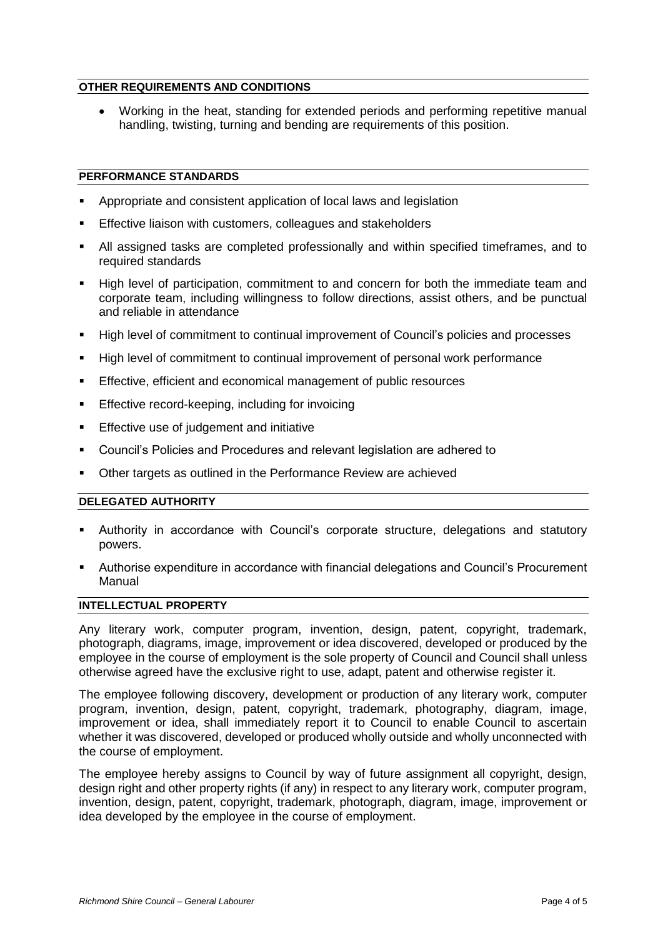### **OTHER REQUIREMENTS AND CONDITIONS**

 Working in the heat, standing for extended periods and performing repetitive manual handling, twisting, turning and bending are requirements of this position.

### **PERFORMANCE STANDARDS**

- Appropriate and consistent application of local laws and legislation
- Effective liaison with customers, colleagues and stakeholders
- All assigned tasks are completed professionally and within specified timeframes, and to required standards
- High level of participation, commitment to and concern for both the immediate team and corporate team, including willingness to follow directions, assist others, and be punctual and reliable in attendance
- High level of commitment to continual improvement of Council's policies and processes
- High level of commitment to continual improvement of personal work performance
- Effective, efficient and economical management of public resources
- **Effective record-keeping, including for invoicing**
- **Effective use of judgement and initiative**
- Council's Policies and Procedures and relevant legislation are adhered to
- Other targets as outlined in the Performance Review are achieved

### **DELEGATED AUTHORITY**

- Authority in accordance with Council's corporate structure, delegations and statutory powers.
- Authorise expenditure in accordance with financial delegations and Council's Procurement Manual

# **INTELLECTUAL PROPERTY**

Any literary work, computer program, invention, design, patent, copyright, trademark, photograph, diagrams, image, improvement or idea discovered, developed or produced by the employee in the course of employment is the sole property of Council and Council shall unless otherwise agreed have the exclusive right to use, adapt, patent and otherwise register it.

The employee following discovery, development or production of any literary work, computer program, invention, design, patent, copyright, trademark, photography, diagram, image, improvement or idea, shall immediately report it to Council to enable Council to ascertain whether it was discovered, developed or produced wholly outside and wholly unconnected with the course of employment.

The employee hereby assigns to Council by way of future assignment all copyright, design, design right and other property rights (if any) in respect to any literary work, computer program, invention, design, patent, copyright, trademark, photograph, diagram, image, improvement or idea developed by the employee in the course of employment.